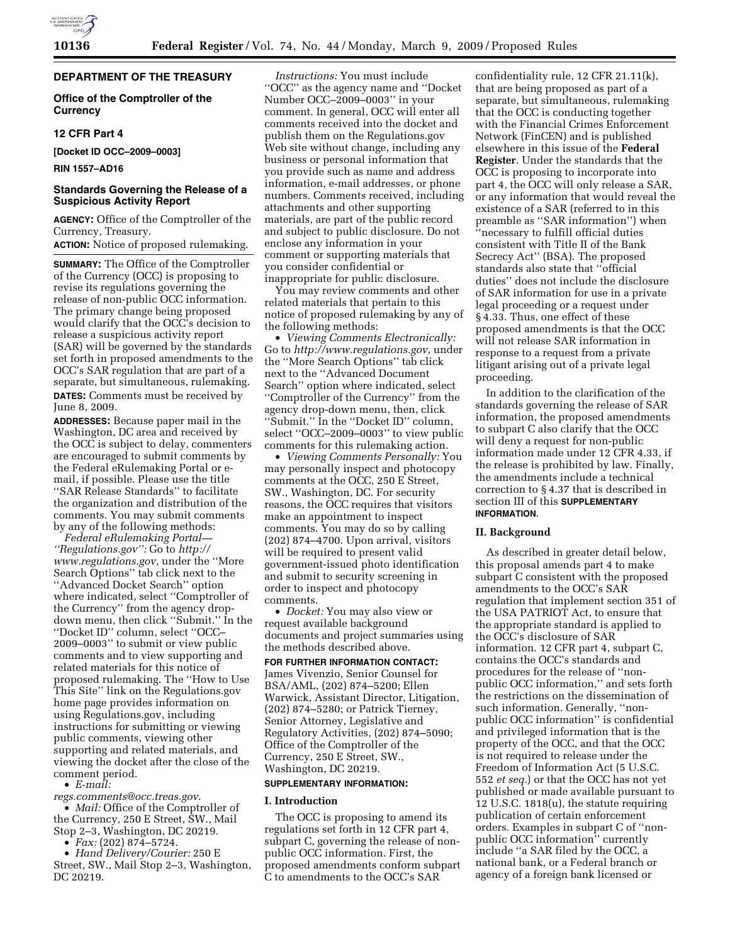# **DEPARTMENT OF THE TREASURY**

**Office of the Comptroller of the Currency** 

#### **12 CFR Part 4**

**[Docket ID OCC–2009–0003]** 

**RIN 1557–AD16** 

## **Standards Governing the Release of a Suspicious Activity Report**

**AGENCY:** Office of the Comptroller of the Currency, Treasury. **ACTION:** Notice of proposed rulemaking.

**SUMMARY:** The Office of the Comptroller of the Currency (OCC) is proposing to revise its regulations governing the release of non-public OCC information. The primary change being proposed would clarify that the OCC's decision to release a suspicious activity report (SAR) will be governed by the standards set forth in proposed amendments to the OCC's SAR regulation that are part of a separate, but simultaneous, rulemaking. **DATES:** Comments must be received by June 8, 2009.

**ADDRESSES:** Because paper mail in the Washington, DC area and received by the OCC is subject to delay, commenters are encouraged to submit comments by the Federal eRulemaking Portal or email, if possible. Please use the title ''SAR Release Standards'' to facilitate the organization and distribution of the comments. You may submit comments by any of the following methods:

*Federal eRulemaking Portal— ''Regulations.gov'':* Go to *http:// www.regulations.gov*, under the ''More Search Options'' tab click next to the ''Advanced Docket Search'' option where indicated, select ''Comptroller of the Currency'' from the agency dropdown menu, then click ''Submit.'' In the ''Docket ID'' column, select ''OCC– 2009–0003'' to submit or view public comments and to view supporting and related materials for this notice of proposed rulemaking. The ''How to Use This Site'' link on the Regulations.gov home page provides information on using Regulations.gov, including instructions for submitting or viewing public comments, viewing other supporting and related materials, and viewing the docket after the close of the comment period.

• *E-mail:* 

*regs.comments@occ.treas.gov*.

• *Mail:* Office of the Comptroller of the Currency, 250 E Street, SW., Mail Stop 2–3, Washington, DC 20219.

• *Fax:* (202) 874–5724.

• *Hand Delivery/Courier:* 250 E Street, SW., Mail Stop 2–3, Washington, DC 20219.

*Instructions:* You must include ''OCC'' as the agency name and ''Docket Number OCC–2009–0003'' in your comment. In general, OCC will enter all comments received into the docket and publish them on the Regulations.gov Web site without change, including any business or personal information that you provide such as name and address information, e-mail addresses, or phone numbers. Comments received, including attachments and other supporting materials, are part of the public record and subject to public disclosure. Do not enclose any information in your comment or supporting materials that you consider confidential or inappropriate for public disclosure.

You may review comments and other related materials that pertain to this notice of proposed rulemaking by any of the following methods:

• *Viewing Comments Electronically:*  Go to *http://www.regulations.gov*, under the ''More Search Options'' tab click next to the ''Advanced Document Search'' option where indicated, select ''Comptroller of the Currency'' from the agency drop-down menu, then, click ''Submit.'' In the ''Docket ID'' column, select ''OCC–2009–0003'' to view public comments for this rulemaking action.

• *Viewing Comments Personally:* You may personally inspect and photocopy comments at the OCC, 250 E Street, SW., Washington, DC. For security reasons, the OCC requires that visitors make an appointment to inspect comments. You may do so by calling (202) 874–4700. Upon arrival, visitors will be required to present valid government-issued photo identification and submit to security screening in order to inspect and photocopy comments.

• *Docket:* You may also view or request available background documents and project summaries using the methods described above.

# **FOR FURTHER INFORMATION CONTACT:**

James Vivenzio, Senior Counsel for BSA/AML, (202) 874–5200; Ellen Warwick, Assistant Director, Litigation, (202) 874–5280; or Patrick Tierney, Senior Attorney, Legislative and Regulatory Activities, (202) 874–5090; Office of the Comptroller of the Currency, 250 E Street, SW., Washington, DC 20219.

#### **SUPPLEMENTARY INFORMATION:**

#### **I. Introduction**

The OCC is proposing to amend its regulations set forth in 12 CFR part 4, subpart C, governing the release of nonpublic OCC information. First, the proposed amendments conform subpart C to amendments to the OCC's SAR

confidentiality rule, 12 CFR 21.11(k), that are being proposed as part of a separate, but simultaneous, rulemaking that the OCC is conducting together with the Financial Crimes Enforcement Network (FinCEN) and is published elsewhere in this issue of the **Federal Register**. Under the standards that the OCC is proposing to incorporate into part 4, the OCC will only release a SAR, or any information that would reveal the existence of a SAR (referred to in this preamble as ''SAR information'') when ''necessary to fulfill official duties consistent with Title II of the Bank Secrecy Act'' (BSA). The proposed standards also state that ''official duties'' does not include the disclosure of SAR information for use in a private legal proceeding or a request under § 4.33. Thus, one effect of these proposed amendments is that the OCC will not release SAR information in response to a request from a private litigant arising out of a private legal proceeding.

In addition to the clarification of the standards governing the release of SAR information, the proposed amendments to subpart C also clarify that the OCC will deny a request for non-public information made under 12 CFR 4.33, if the release is prohibited by law. Finally, the amendments include a technical correction to § 4.37 that is described in section III of this **SUPPLEMENTARY INFORMATION**.

#### **II. Background**

As described in greater detail below, this proposal amends part 4 to make subpart C consistent with the proposed amendments to the OCC's SAR regulation that implement section 351 of the USA PATRIOT Act, to ensure that the appropriate standard is applied to the OCC's disclosure of SAR information. 12 CFR part 4, subpart C, contains the OCC's standards and procedures for the release of ''nonpublic OCC information,'' and sets forth the restrictions on the dissemination of such information. Generally, ''nonpublic OCC information'' is confidential and privileged information that is the property of the OCC, and that the OCC is not required to release under the Freedom of Information Act (5 U.S.C. 552 *et seq.*) or that the OCC has not yet published or made available pursuant to 12 U.S.C. 1818(u), the statute requiring publication of certain enforcement orders. Examples in subpart C of ''nonpublic OCC information'' currently include ''a SAR filed by the OCC, a national bank, or a Federal branch or agency of a foreign bank licensed or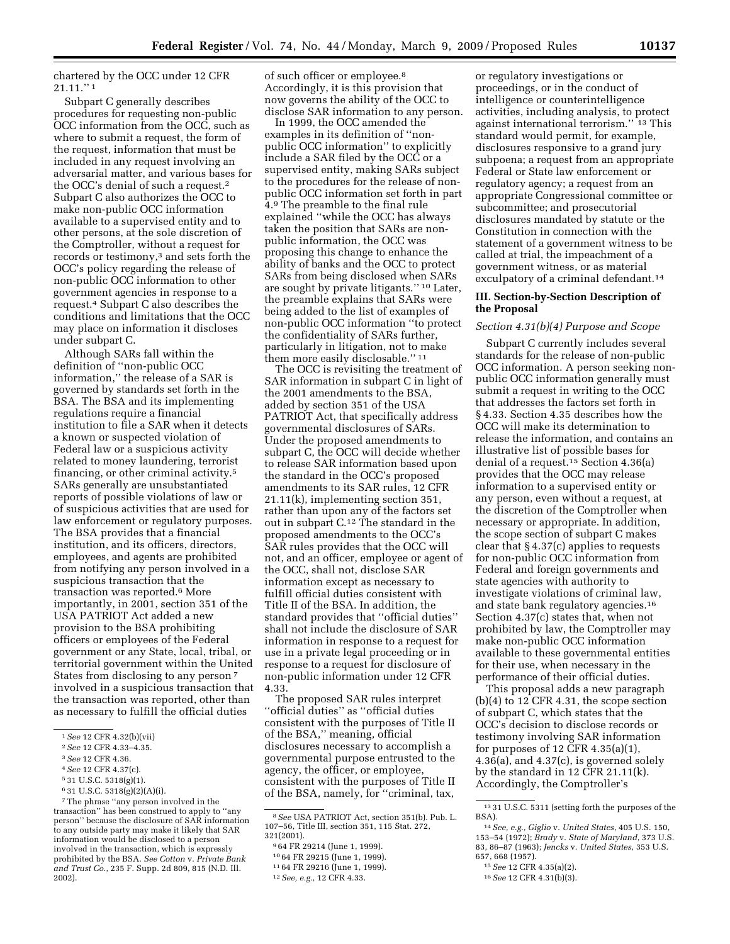chartered by the OCC under 12 CFR 21.11.'' 1

Subpart C generally describes procedures for requesting non-public OCC information from the OCC, such as where to submit a request, the form of the request, information that must be included in any request involving an adversarial matter, and various bases for the OCC's denial of such a request.2 Subpart C also authorizes the OCC to make non-public OCC information available to a supervised entity and to other persons, at the sole discretion of the Comptroller, without a request for records or testimony,<sup>3</sup> and sets forth the OCC's policy regarding the release of non-public OCC information to other government agencies in response to a request.4 Subpart C also describes the conditions and limitations that the OCC may place on information it discloses under subpart C.

Although SARs fall within the definition of ''non-public OCC information,'' the release of a SAR is governed by standards set forth in the BSA. The BSA and its implementing regulations require a financial institution to file a SAR when it detects a known or suspected violation of Federal law or a suspicious activity related to money laundering, terrorist financing, or other criminal activity.5 SARs generally are unsubstantiated reports of possible violations of law or of suspicious activities that are used for law enforcement or regulatory purposes. The BSA provides that a financial institution, and its officers, directors, employees, and agents are prohibited from notifying any person involved in a suspicious transaction that the transaction was reported.6 More importantly, in 2001, section 351 of the USA PATRIOT Act added a new provision to the BSA prohibiting officers or employees of the Federal government or any State, local, tribal, or territorial government within the United States from disclosing to any person 7 involved in a suspicious transaction that the transaction was reported, other than as necessary to fulfill the official duties

of such officer or employee.8 Accordingly, it is this provision that now governs the ability of the OCC to disclose SAR information to any person.

In 1999, the OCC amended the examples in its definition of ''nonpublic OCC information'' to explicitly include a SAR filed by the OCC or a supervised entity, making SARs subject to the procedures for the release of nonpublic OCC information set forth in part 4.9 The preamble to the final rule explained ''while the OCC has always taken the position that SARs are nonpublic information, the OCC was proposing this change to enhance the ability of banks and the OCC to protect SARs from being disclosed when SARs are sought by private litigants.'' 10 Later, the preamble explains that SARs were being added to the list of examples of non-public OCC information ''to protect the confidentiality of SARs further, particularly in litigation, not to make them more easily disclosable.'' 11

The OCC is revisiting the treatment of SAR information in subpart C in light of the 2001 amendments to the BSA, added by section 351 of the USA PATRIOT Act, that specifically address governmental disclosures of SARs. Under the proposed amendments to subpart C, the OCC will decide whether to release SAR information based upon the standard in the OCC's proposed amendments to its SAR rules, 12 CFR 21.11(k), implementing section 351, rather than upon any of the factors set out in subpart C.12 The standard in the proposed amendments to the OCC's SAR rules provides that the OCC will not, and an officer, employee or agent of the OCC, shall not, disclose SAR information except as necessary to fulfill official duties consistent with Title II of the BSA. In addition, the standard provides that ''official duties'' shall not include the disclosure of SAR information in response to a request for use in a private legal proceeding or in response to a request for disclosure of non-public information under 12 CFR 4.33.

The proposed SAR rules interpret ''official duties'' as ''official duties consistent with the purposes of Title II of the BSA,'' meaning, official disclosures necessary to accomplish a governmental purpose entrusted to the agency, the officer, or employee, consistent with the purposes of Title II of the BSA, namely, for ''criminal, tax,

or regulatory investigations or proceedings, or in the conduct of intelligence or counterintelligence activities, including analysis, to protect against international terrorism.'' 13 This standard would permit, for example, disclosures responsive to a grand jury subpoena; a request from an appropriate Federal or State law enforcement or regulatory agency; a request from an appropriate Congressional committee or subcommittee; and prosecutorial disclosures mandated by statute or the Constitution in connection with the statement of a government witness to be called at trial, the impeachment of a government witness, or as material exculpatory of a criminal defendant.<sup>14</sup>

## **III. Section-by-Section Description of the Proposal**

#### *Section 4.31(b)(4) Purpose and Scope*

Subpart C currently includes several standards for the release of non-public OCC information. A person seeking nonpublic OCC information generally must submit a request in writing to the OCC that addresses the factors set forth in § 4.33. Section 4.35 describes how the OCC will make its determination to release the information, and contains an illustrative list of possible bases for denial of a request.15 Section 4.36(a) provides that the OCC may release information to a supervised entity or any person, even without a request, at the discretion of the Comptroller when necessary or appropriate. In addition, the scope section of subpart C makes clear that § 4.37(c) applies to requests for non-public OCC information from Federal and foreign governments and state agencies with authority to investigate violations of criminal law, and state bank regulatory agencies.16 Section 4.37(c) states that, when not prohibited by law, the Comptroller may make non-public OCC information available to these governmental entities for their use, when necessary in the performance of their official duties.

This proposal adds a new paragraph (b)(4) to 12 CFR 4.31, the scope section of subpart C, which states that the OCC's decision to disclose records or testimony involving SAR information for purposes of 12 CFR 4.35(a)(1), 4.36(a), and 4.37(c), is governed solely by the standard in 12 CFR 21.11(k). Accordingly, the Comptroller's

<sup>1</sup>*See* 12 CFR 4.32(b)(vii)

<sup>2</sup>*See* 12 CFR 4.33–4.35.

<sup>3</sup>*See* 12 CFR 4.36.

<sup>4</sup>*See* 12 CFR 4.37(c).

<sup>5</sup> 31 U.S.C. 5318(g)(1).

<sup>6</sup> 31 U.S.C. 5318(g)(2)(A)(i).

<sup>7</sup>The phrase ''any person involved in the transaction'' has been construed to apply to ''any person'' because the disclosure of SAR information to any outside party may make it likely that SAR information would be disclosed to a person involved in the transaction, which is expressly prohibited by the BSA. *See Cotton* v. *Private Bank and Trust Co.,* 235 F. Supp. 2d 809, 815 (N.D. Ill. 2002).

<sup>8</sup>*See* USA PATRIOT Act, section 351(b). Pub. L. 107–56, Title III, section 351, 115 Stat. 272,

<sup>&</sup>lt;sup>9</sup>64 FR 29214 (June 1, 1999).

<sup>10</sup> 64 FR 29215 (June 1, 1999). 11 64 FR 29216 (June 1, 1999). 12*See, e.g.*, 12 CFR 4.33.

<sup>13</sup> 31 U.S.C. 5311 (setting forth the purposes of the BSA).

<sup>14</sup>*See, e.g., Giglio* v. *United States*, 405 U.S. 150, 153–54 (1972); *Brady* v. *State of Maryland*, 373 U.S. 83, 86–87 (1963); *Jencks* v. *United States*, 353 U.S. 657, 668 (1957).

<sup>15</sup>*See* 12 CFR 4.35(a)(2).

<sup>16</sup>*See* 12 CFR 4.31(b)(3).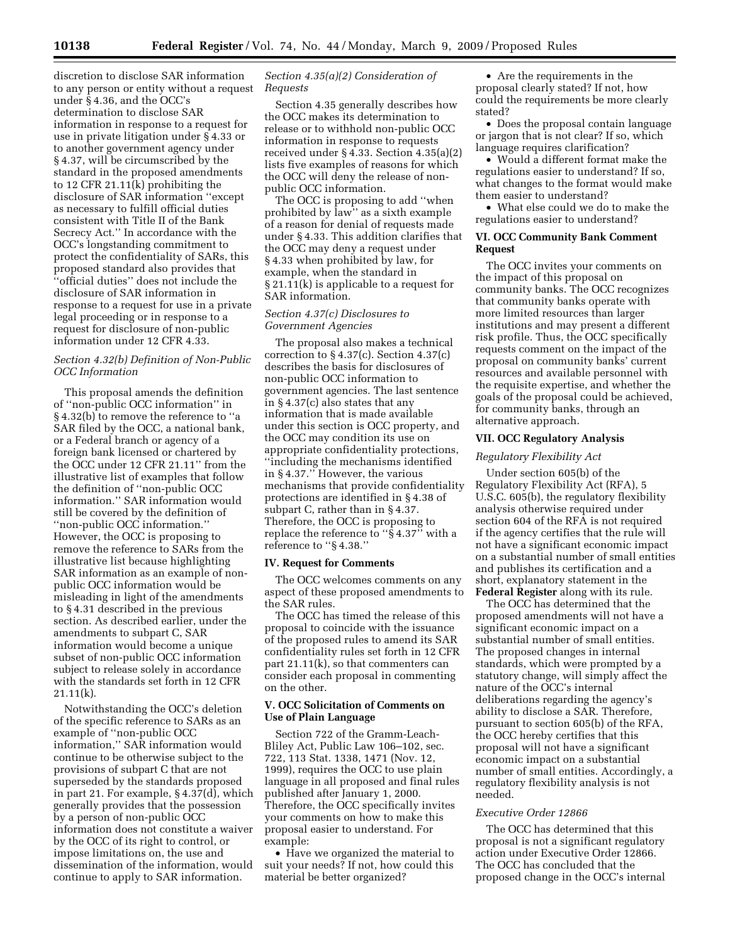discretion to disclose SAR information to any person or entity without a request under § 4.36, and the OCC's determination to disclose SAR information in response to a request for use in private litigation under § 4.33 or to another government agency under § 4.37, will be circumscribed by the standard in the proposed amendments to 12 CFR 21.11(k) prohibiting the disclosure of SAR information ''except as necessary to fulfill official duties consistent with Title II of the Bank Secrecy Act.'' In accordance with the OCC's longstanding commitment to protect the confidentiality of SARs, this proposed standard also provides that ''official duties'' does not include the disclosure of SAR information in response to a request for use in a private legal proceeding or in response to a request for disclosure of non-public information under 12 CFR 4.33.

## *Section 4.32(b) Definition of Non-Public OCC Information*

This proposal amends the definition of ''non-public OCC information'' in § 4.32(b) to remove the reference to ''a SAR filed by the OCC, a national bank, or a Federal branch or agency of a foreign bank licensed or chartered by the OCC under 12 CFR 21.11'' from the illustrative list of examples that follow the definition of ''non-public OCC information.'' SAR information would still be covered by the definition of ''non-public OCC information.'' However, the OCC is proposing to remove the reference to SARs from the illustrative list because highlighting SAR information as an example of nonpublic OCC information would be misleading in light of the amendments to § 4.31 described in the previous section. As described earlier, under the amendments to subpart C, SAR information would become a unique subset of non-public OCC information subject to release solely in accordance with the standards set forth in 12 CFR 21.11(k).

Notwithstanding the OCC's deletion of the specific reference to SARs as an example of ''non-public OCC information,'' SAR information would continue to be otherwise subject to the provisions of subpart C that are not superseded by the standards proposed in part 21. For example, § 4.37(d), which generally provides that the possession by a person of non-public OCC information does not constitute a waiver by the OCC of its right to control, or impose limitations on, the use and dissemination of the information, would continue to apply to SAR information.

## *Section 4.35(a)(2) Consideration of Requests*

Section 4.35 generally describes how the OCC makes its determination to release or to withhold non-public OCC information in response to requests received under § 4.33. Section 4.35(a)(2) lists five examples of reasons for which the OCC will deny the release of nonpublic OCC information.

The OCC is proposing to add ''when prohibited by law'' as a sixth example of a reason for denial of requests made under § 4.33. This addition clarifies that the OCC may deny a request under § 4.33 when prohibited by law, for example, when the standard in § 21.11(k) is applicable to a request for SAR information.

## *Section 4.37(c) Disclosures to Government Agencies*

The proposal also makes a technical correction to § 4.37(c). Section 4.37(c) describes the basis for disclosures of non-public OCC information to government agencies. The last sentence in § 4.37(c) also states that any information that is made available under this section is OCC property, and the OCC may condition its use on appropriate confidentiality protections, ''including the mechanisms identified in § 4.37.'' However, the various mechanisms that provide confidentiality protections are identified in § 4.38 of subpart C, rather than in § 4.37. Therefore, the OCC is proposing to replace the reference to ''§ 4.37'' with a reference to ''§ 4.38.''

#### **IV. Request for Comments**

The OCC welcomes comments on any aspect of these proposed amendments to the SAR rules.

The OCC has timed the release of this proposal to coincide with the issuance of the proposed rules to amend its SAR confidentiality rules set forth in 12 CFR part 21.11(k), so that commenters can consider each proposal in commenting on the other.

#### **V. OCC Solicitation of Comments on Use of Plain Language**

Section 722 of the Gramm-Leach-Bliley Act, Public Law 106–102, sec. 722, 113 Stat. 1338, 1471 (Nov. 12, 1999), requires the OCC to use plain language in all proposed and final rules published after January 1, 2000. Therefore, the OCC specifically invites your comments on how to make this proposal easier to understand. For example:

• Have we organized the material to suit your needs? If not, how could this material be better organized?

• Are the requirements in the proposal clearly stated? If not, how could the requirements be more clearly stated?

• Does the proposal contain language or jargon that is not clear? If so, which language requires clarification?

• Would a different format make the regulations easier to understand? If so, what changes to the format would make them easier to understand?

• What else could we do to make the regulations easier to understand?

## **VI. OCC Community Bank Comment Request**

The OCC invites your comments on the impact of this proposal on community banks. The OCC recognizes that community banks operate with more limited resources than larger institutions and may present a different risk profile. Thus, the OCC specifically requests comment on the impact of the proposal on community banks' current resources and available personnel with the requisite expertise, and whether the goals of the proposal could be achieved, for community banks, through an alternative approach.

#### **VII. OCC Regulatory Analysis**

#### *Regulatory Flexibility Act*

Under section 605(b) of the Regulatory Flexibility Act (RFA), 5 U.S.C. 605(b), the regulatory flexibility analysis otherwise required under section 604 of the RFA is not required if the agency certifies that the rule will not have a significant economic impact on a substantial number of small entities and publishes its certification and a short, explanatory statement in the **Federal Register** along with its rule.

The OCC has determined that the proposed amendments will not have a significant economic impact on a substantial number of small entities. The proposed changes in internal standards, which were prompted by a statutory change, will simply affect the nature of the OCC's internal deliberations regarding the agency's ability to disclose a SAR. Therefore, pursuant to section 605(b) of the RFA, the OCC hereby certifies that this proposal will not have a significant economic impact on a substantial number of small entities. Accordingly, a regulatory flexibility analysis is not needed.

# *Executive Order 12866*

The OCC has determined that this proposal is not a significant regulatory action under Executive Order 12866. The OCC has concluded that the proposed change in the OCC's internal